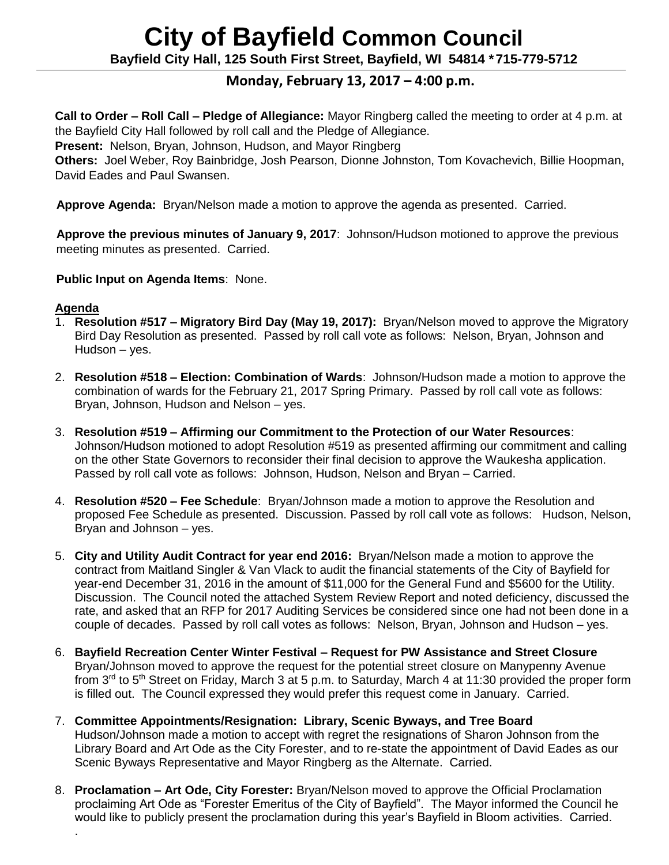# **City of Bayfield Common Council**

**Bayfield City Hall, 125 South First Street, Bayfield, WI 54814 \*715-779-5712**

## **Monday, February 13, 2017 – 4:00 p.m.**

**Call to Order – Roll Call – Pledge of Allegiance:** Mayor Ringberg called the meeting to order at 4 p.m. at the Bayfield City Hall followed by roll call and the Pledge of Allegiance.

**Present:** Nelson, Bryan, Johnson, Hudson, and Mayor Ringberg

**Others:** Joel Weber, Roy Bainbridge, Josh Pearson, Dionne Johnston, Tom Kovachevich, Billie Hoopman, David Eades and Paul Swansen.

**Approve Agenda:** Bryan/Nelson made a motion to approve the agenda as presented. Carried.

 **Approve the previous minutes of January 9, 2017**: Johnson/Hudson motioned to approve the previous meeting minutes as presented. Carried.

 **Public Input on Agenda Items**: None.

#### **Agenda**

.

- 1. **Resolution #517 – Migratory Bird Day (May 19, 2017):** Bryan/Nelson moved to approve the Migratory Bird Day Resolution as presented. Passed by roll call vote as follows: Nelson, Bryan, Johnson and Hudson – yes.
- 2. **Resolution #518 – Election: Combination of Wards**: Johnson/Hudson made a motion to approve the combination of wards for the February 21, 2017 Spring Primary. Passed by roll call vote as follows: Bryan, Johnson, Hudson and Nelson – yes.
- 3. **Resolution #519 – Affirming our Commitment to the Protection of our Water Resources**: Johnson/Hudson motioned to adopt Resolution #519 as presented affirming our commitment and calling on the other State Governors to reconsider their final decision to approve the Waukesha application. Passed by roll call vote as follows: Johnson, Hudson, Nelson and Bryan – Carried.
- 4. **Resolution #520 – Fee Schedule**: Bryan/Johnson made a motion to approve the Resolution and proposed Fee Schedule as presented. Discussion. Passed by roll call vote as follows: Hudson, Nelson, Bryan and Johnson – yes.
- 5. **City and Utility Audit Contract for year end 2016:** Bryan/Nelson made a motion to approve the contract from Maitland Singler & Van Vlack to audit the financial statements of the City of Bayfield for year-end December 31, 2016 in the amount of \$11,000 for the General Fund and \$5600 for the Utility. Discussion. The Council noted the attached System Review Report and noted deficiency, discussed the rate, and asked that an RFP for 2017 Auditing Services be considered since one had not been done in a couple of decades. Passed by roll call votes as follows: Nelson, Bryan, Johnson and Hudson – yes.
- 6. **Bayfield Recreation Center Winter Festival – Request for PW Assistance and Street Closure** Bryan/Johnson moved to approve the request for the potential street closure on Manypenny Avenue from 3<sup>rd</sup> to 5<sup>th</sup> Street on Friday, March 3 at 5 p.m. to Saturday, March 4 at 11:30 provided the proper form is filled out. The Council expressed they would prefer this request come in January. Carried.
- 7. **Committee Appointments/Resignation: Library, Scenic Byways, and Tree Board** Hudson/Johnson made a motion to accept with regret the resignations of Sharon Johnson from the Library Board and Art Ode as the City Forester, and to re-state the appointment of David Eades as our Scenic Byways Representative and Mayor Ringberg as the Alternate. Carried.
- 8. **Proclamation – Art Ode, City Forester:** Bryan/Nelson moved to approve the Official Proclamation proclaiming Art Ode as "Forester Emeritus of the City of Bayfield". The Mayor informed the Council he would like to publicly present the proclamation during this year's Bayfield in Bloom activities. Carried.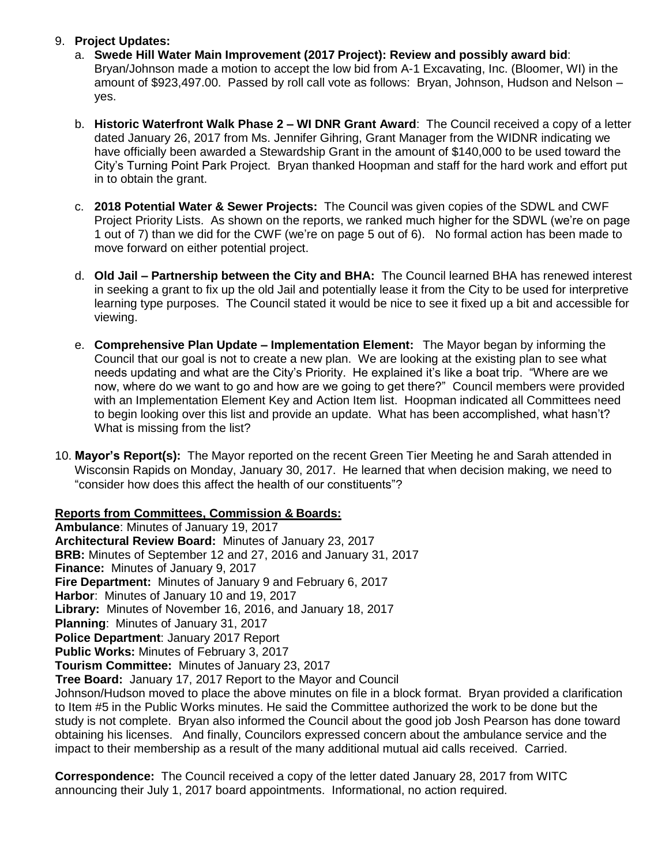#### 9. **Project Updates:**

- a. **Swede Hill Water Main Improvement (2017 Project): Review and possibly award bid**: Bryan/Johnson made a motion to accept the low bid from A-1 Excavating, Inc. (Bloomer, WI) in the amount of \$923,497.00. Passed by roll call vote as follows: Bryan, Johnson, Hudson and Nelson – yes.
- b. **Historic Waterfront Walk Phase 2 – WI DNR Grant Award**: The Council received a copy of a letter dated January 26, 2017 from Ms. Jennifer Gihring, Grant Manager from the WIDNR indicating we have officially been awarded a Stewardship Grant in the amount of \$140,000 to be used toward the City's Turning Point Park Project. Bryan thanked Hoopman and staff for the hard work and effort put in to obtain the grant.
- c. **2018 Potential Water & Sewer Projects:** The Council was given copies of the SDWL and CWF Project Priority Lists. As shown on the reports, we ranked much higher for the SDWL (we're on page 1 out of 7) than we did for the CWF (we're on page 5 out of 6). No formal action has been made to move forward on either potential project.
- d. **Old Jail – Partnership between the City and BHA:** The Council learned BHA has renewed interest in seeking a grant to fix up the old Jail and potentially lease it from the City to be used for interpretive learning type purposes. The Council stated it would be nice to see it fixed up a bit and accessible for viewing.
- e. **Comprehensive Plan Update – Implementation Element:** The Mayor began by informing the Council that our goal is not to create a new plan. We are looking at the existing plan to see what needs updating and what are the City's Priority. He explained it's like a boat trip. "Where are we now, where do we want to go and how are we going to get there?" Council members were provided with an Implementation Element Key and Action Item list. Hoopman indicated all Committees need to begin looking over this list and provide an update. What has been accomplished, what hasn't? What is missing from the list?
- 10. **Mayor's Report(s):** The Mayor reported on the recent Green Tier Meeting he and Sarah attended in Wisconsin Rapids on Monday, January 30, 2017. He learned that when decision making, we need to "consider how does this affect the health of our constituents"?

### **Reports from Committees, Commission & Boards:**

**Ambulance**: Minutes of January 19, 2017 **Architectural Review Board:** Minutes of January 23, 2017 **BRB:** Minutes of September 12 and 27, 2016 and January 31, 2017 **Finance:** Minutes of January 9, 2017 **Fire Department:** Minutes of January 9 and February 6, 2017 **Harbor**: Minutes of January 10 and 19, 2017 **Library:** Minutes of November 16, 2016, and January 18, 2017 **Planning**: Minutes of January 31, 2017 **Police Department**: January 2017 Report **Public Works:** Minutes of February 3, 2017 **Tourism Committee:** Minutes of January 23, 2017 **Tree Board:** January 17, 2017 Report to the Mayor and Council Johnson/Hudson moved to place the above minutes on file in a block format. Bryan provided a clarification to Item #5 in the Public Works minutes. He said the Committee authorized the work to be done but the study is not complete. Bryan also informed the Council about the good job Josh Pearson has done toward obtaining his licenses. And finally, Councilors expressed concern about the ambulance service and the

**Correspondence:** The Council received a copy of the letter dated January 28, 2017 from WITC announcing their July 1, 2017 board appointments. Informational, no action required.

impact to their membership as a result of the many additional mutual aid calls received. Carried.